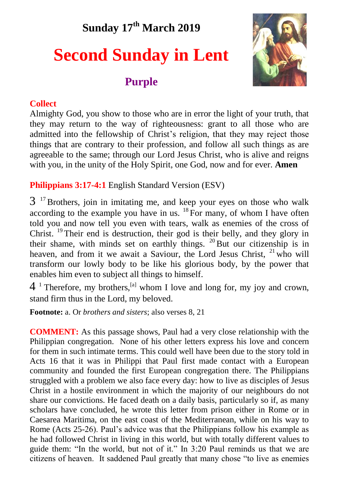## **Sunday 17th March 2019**

# **Second Sunday in Lent**

### **Purple**



#### **Collect**

Almighty God, you show to those who are in error the light of your truth, that they may return to the way of righteousness: grant to all those who are admitted into the fellowship of Christ's religion, that they may reject those things that are contrary to their profession, and follow all such things as are agreeable to the same; through our Lord Jesus Christ, who is alive and reigns with you, in the unity of the Holy Spirit, one God, now and for ever. **Amen**

**Philippians 3:17-4:1** English Standard Version (ESV)

 $3<sup>17</sup>$  Brothers, join in imitating me, and keep your eyes on those who walk according to the example you have in us.  $^{18}$  For many, of whom I have often told you and now tell you even with tears, walk as enemies of the cross of Christ. <sup>19</sup>Their end is destruction, their god is their belly, and they glory in their shame, with minds set on earthly things.  $^{20}$  But our citizenship is in heaven, and from it we await a Saviour, the Lord Jesus Christ. <sup>21</sup> who will transform our lowly body to be like his glorious body, by the power that enables him even to subject all things to himself.

 $4<sup>1</sup>$  Therefore, my brothers, <sup>[a]</sup> whom I love and long for, my joy and crown, stand firm thus in the Lord, my beloved.

**Footnote:** a. Or *brothers and sisters*; also verses 8, 21

**COMMENT:** As this passage shows, Paul had a very close relationship with the Philippian congregation. None of his other letters express his love and concern for them in such intimate terms. This could well have been due to the story told in Acts 16 that it was in Philippi that Paul first made contact with a European community and founded the first European congregation there. The Philippians struggled with a problem we also face every day: how to live as disciples of Jesus Christ in a hostile environment in which the majority of our neighbours do not share our convictions. He faced death on a daily basis, particularly so if, as many scholars have concluded, he wrote this letter from prison either in Rome or in Caesarea Maritima, on the east coast of the Mediterranean, while on his way to Rome (Acts 25-26). Paul's advice was that the Philippians follow his example as he had followed Christ in living in this world, but with totally different values to guide them: "In the world, but not of it." In 3:20 Paul reminds us that we are citizens of heaven. It saddened Paul greatly that many chose "to live as enemies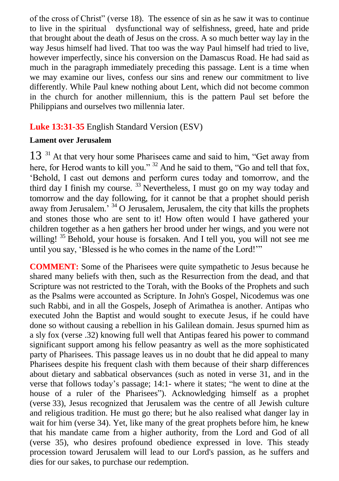of the cross of Christ" (verse 18). The essence of sin as he saw it was to continue to live in the spiritual dysfunctional way of selfishness, greed, hate and pride that brought about the death of Jesus on the cross. A so much better way lay in the way Jesus himself had lived. That too was the way Paul himself had tried to live, however imperfectly, since his conversion on the Damascus Road. He had said as much in the paragraph immediately preceding this passage. Lent is a time when we may examine our lives, confess our sins and renew our commitment to live differently. While Paul knew nothing about Lent, which did not become common in the church for another millennium, this is the pattern Paul set before the Philippians and ourselves two millennia later.

#### **Luke 13:31-35** English Standard Version (ESV)

#### **Lament over Jerusalem**

13<sup>31</sup> At that very hour some Pharisees came and said to him, "Get away from here, for Herod wants to kill you." <sup>32</sup> And he said to them, "Go and tell that fox, 'Behold, I cast out demons and perform cures today and tomorrow, and the third day I finish my course.  $33$  Nevertheless, I must go on my way today and tomorrow and the day following, for it cannot be that a prophet should perish away from Jerusalem.' <sup>34</sup> O Jerusalem, Jerusalem, the city that kills the prophets and stones those who are sent to it! How often would I have gathered your children together as a hen gathers her brood under her wings, and you were not willing!  $35$  Behold, your house is forsaken. And I tell you, you will not see me until you say, 'Blessed is he who comes in the name of the Lord!'"

**COMMENT:** Some of the Pharisees were quite sympathetic to Jesus because he shared many beliefs with then, such as the Resurrection from the dead, and that Scripture was not restricted to the Torah, with the Books of the Prophets and such as the Psalms were accounted as Scripture. In John's Gospel, Nicodemus was one such Rabbi, and in all the Gospels, Joseph of Arimathea is another. Antipas who executed John the Baptist and would sought to execute Jesus, if he could have done so without causing a rebellion in his Galilean domain. Jesus spurned him as a sly fox (verse .32) knowing full well that Antipas feared his power to command significant support among his fellow peasantry as well as the more sophisticated party of Pharisees. This passage leaves us in no doubt that he did appeal to many Pharisees despite his frequent clash with them because of their sharp differences about dietary and sabbatical observances (such as noted in verse 31, and in the verse that follows today's passage; 14:1- where it states; "he went to dine at the house of a ruler of the Pharisees"). Acknowledging himself as a prophet (verse 33), Jesus recognized that Jerusalem was the centre of all Jewish culture and religious tradition. He must go there; but he also realised what danger lay in wait for him (verse 34). Yet, like many of the great prophets before him, he knew that his mandate came from a higher authority, from the Lord and God of all (verse 35), who desires profound obedience expressed in love. This steady procession toward Jerusalem will lead to our Lord's passion, as he suffers and dies for our sakes, to purchase our redemption.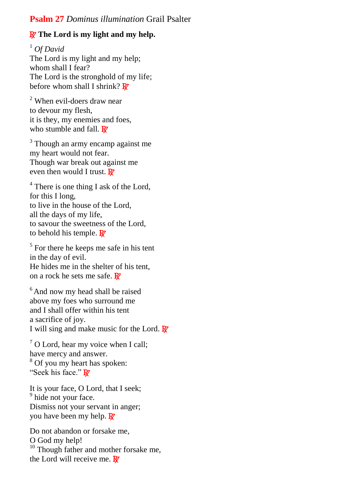#### **Psalm 27** *Dominus illumination* Grail Psalter

#### **R** The Lord is my light and my help.

<sup>1</sup> *Of David* The Lord is my light and my help; whom shall I fear? The Lord is the stronghold of my life; before whom shall I shrink?  $\mathbb{R}^n$ 

<sup>2</sup> When evil-doers draw near to devour my flesh, it is they, my enemies and foes, who stumble and fall.  $\mathbb{R}^7$ 

<sup>3</sup> Though an army encamp against me my heart would not fear. Though war break out against me even then would I trust.  $\mathbf{R}$ 

<sup>4</sup> There is one thing I ask of the Lord, for this I long, to live in the house of the Lord, all the days of my life, to savour the sweetness of the Lord, to behold his temple.  $\mathbf{R}$ 

<sup>5</sup> For there he keeps me safe in his tent in the day of evil. He hides me in the shelter of his tent, on a rock he sets me safe.  $\mathbb{R}^r$ 

<sup>6</sup> And now my head shall be raised above my foes who surround me and I shall offer within his tent a sacrifice of joy. I will sing and make music for the Lord.  $\mathbb{R}^7$ 

 $7$  O Lord, hear my voice when I call; have mercy and answer. <sup>8</sup> Of you my heart has spoken: "Seek his face." R

It is your face, O Lord, that I seek; <sup>9</sup> hide not your face. Dismiss not your servant in anger; you have been my help.  $\mathbb{R}^r$ 

Do not abandon or forsake me, O God my help! <sup>10</sup> Though father and mother forsake me, the Lord will receive me.  $\mathbb{R}^7$